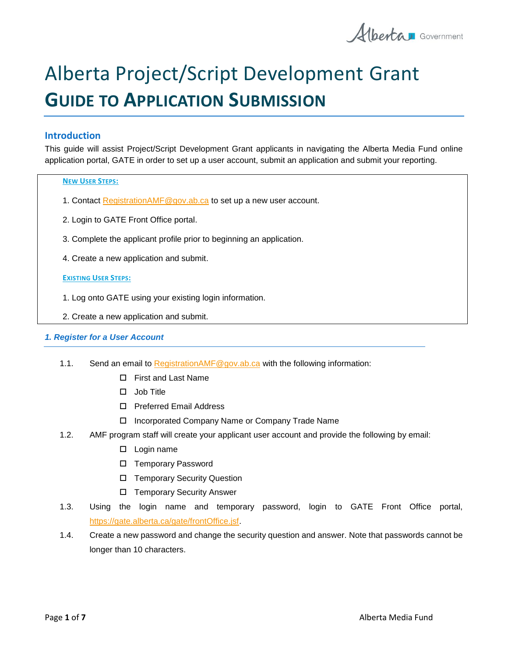Alberta Government

# Alberta Project/Script Development Grant **GUIDE TO APPLICATION SUBMISSION**

## **Introduction**

This guide will assist Project/Script Development Grant applicants in navigating the Alberta Media Fund online application portal, GATE in order to set up a user account, submit an application and submit your reporting.

#### **NEW USER STEPS:**

- 1. Contact [RegistrationAMF@gov.ab.ca](mailto:RegistrationAMF@gov.ab.ca) to set up a new user account.
- 2. Login to GATE Front Office portal.
- 3. Complete the applicant profile prior to beginning an application.
- 4. Create a new application and submit.

## **EXISTING USER STEPS:**

- 1. Log onto GATE using your existing login information.
- 2. Create a new application and submit.

## *1. Register for a User Account*

- 1.1. Send an email to Registration AMF@gov.ab.ca with the following information:
	- □ First and Last Name
	- $\Box$  Job Title
	- □ Preferred Email Address
	- Incorporated Company Name or Company Trade Name
- 1.2. AMF program staff will create your applicant user account and provide the following by email:
	- □ Login name
	- □ Temporary Password
	- □ Temporary Security Question
	- □ Temporary Security Answer
- 1.3. Using the login name and temporary password, login to GATE Front Office portal, [https://gate.alberta.ca/gate/frontOffice.jsf.](https://gate.alberta.ca/gate/frontOffice.jsf)
- 1.4. Create a new password and change the security question and answer. Note that passwords cannot be longer than 10 characters.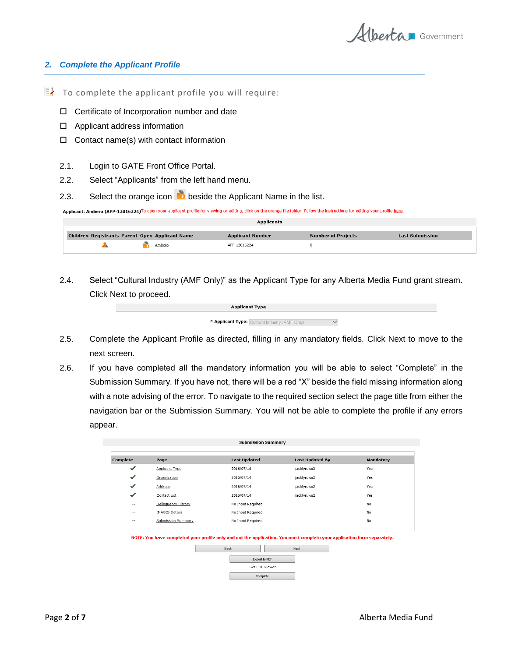

#### *2. Complete the Applicant Profile*

- $\mathbb{R}$  To complete the applicant profile you will require:
	- □ Certificate of Incorporation number and date
	- Applicant address information
	- $\Box$  Contact name(s) with contact information
	- 2.1. Login to GATE Front Office Portal.
	- 2.2. Select "Applicants" from the left hand menu.
	- 2.3. Select the orange icon  $\bullet$  beside the Applicant Name in the list.

Applicant: Ambero (APP-12016224)To open your applicant profile for viewing or editing, click on the orange file folder. Follow the instructions for editing your profile here

| <b>Applicants</b> |                                                 |                         |                           |                        |  |
|-------------------|-------------------------------------------------|-------------------------|---------------------------|------------------------|--|
|                   | Children Registrants Parent Open Applicant Name | <b>Applicant Number</b> | <b>Number of Projects</b> | <b>Last Submission</b> |  |
|                   | Ambero                                          | APP-12016224            |                           |                        |  |

2.4. Select "Cultural Industry (AMF Only)" as the Applicant Type for any Alberta Media Fund grant stream. Click Next to proceed.

| <b>Applicant Type</b>                          |  |
|------------------------------------------------|--|
| * Applicant Type: Cultural Industry (AMF Only) |  |

- 2.5. Complete the Applicant Profile as directed, filling in any mandatory fields. Click Next to move to the next screen.
- 2.6. If you have completed all the mandatory information you will be able to select "Complete" in the Submission Summary. If you have not, there will be a red "X" beside the field missing information along with a note advising of the error. To navigate to the required section select the page title from either the navigation bar or the Submission Summary. You will not be able to complete the profile if any errors appear.

| Complete     | Page                  | <b>Last Updated</b> | <b>Last Updated By</b> | <b>Mandatory</b> |
|--------------|-----------------------|---------------------|------------------------|------------------|
| $\checkmark$ | Applicant Type        | 2016/07/14          | jacklyn.wu2            | Yes              |
|              | Organization          | 2016/07/14          | jacklyn.wu2            | Yes              |
| ✓            | Address               | 2016/07/14          | jacklyn.wu2            | Yes              |
| ✓            | Contact List          | 2016/07/14          | jacklyn.wu2            | Yes              |
| $- -$        | Delinquency History   | No Input Required   |                        | No               |
| --           | <b>IMAGIS Details</b> | No Input Required   |                        | No               |
| $\sim$       | Submission Summary    | No Input Required   |                        | No               |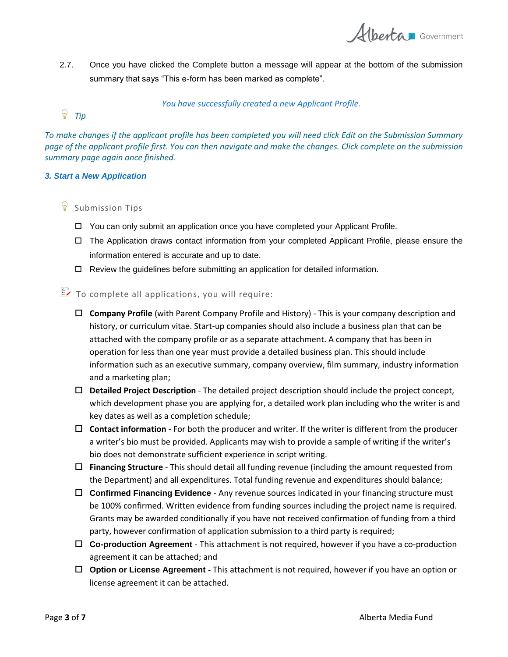Alberta Government

2.7. Once you have clicked the Complete button a message will appear at the bottom of the submission summary that says "This e-form has been marked as complete".

*You have successfully created a new Applicant Profile.*

# <sup>*②</sup> Tip*</sup>

*To make changes if the applicant profile has been completed you will need click Edit on the Submission Summary page of the applicant profile first. You can then navigate and make the changes. Click complete on the submission summary page again once finished.*

## *3. Start a New Application*

# & Submission Tips

- You can only submit an application once you have completed your Applicant Profile.
- The Application draws contact information from your completed Applicant Profile, please ensure the information entered is accurate and up to date.
- Review the guidelines before submitting an application for detailed information.
- $\mathbb{E}$  To complete all applications, you will require:
	- **Company Profile** (with Parent Company Profile and History) This is your company description and history, or curriculum vitae. Start-up companies should also include a business plan that can be attached with the company profile or as a separate attachment. A company that has been in operation for less than one year must provide a detailed business plan. This should include information such as an executive summary, company overview, film summary, industry information and a marketing plan;
	- **Detailed Project Description** The detailed project description should include the project concept, which development phase you are applying for, a detailed work plan including who the writer is and key dates as well as a completion schedule;
	- **Contact information** For both the producer and writer. If the writer is different from the producer a writer's bio must be provided. Applicants may wish to provide a sample of writing if the writer's bio does not demonstrate sufficient experience in script writing.
	- **Financing Structure** This should detail all funding revenue (including the amount requested from the Department) and all expenditures. Total funding revenue and expenditures should balance;
	- **Confirmed Financing Evidence** Any revenue sources indicated in your financing structure must be 100% confirmed. Written evidence from funding sources including the project name is required. Grants may be awarded conditionally if you have not received confirmation of funding from a third party, however confirmation of application submission to a third party is required;
	- **Co-production Agreement** This attachment is not required, however if you have a co-production agreement it can be attached; and
	- **Option or License Agreement -** This attachment is not required, however if you have an option or license agreement it can be attached.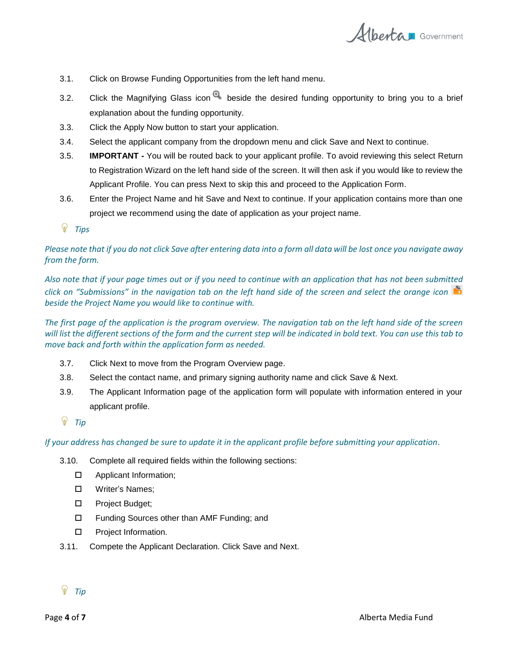

- 3.1. Click on Browse Funding Opportunities from the left hand menu.
- 3.2. Click the Magnifying Glass icon  $\bigcirc$  beside the desired funding opportunity to bring you to a brief explanation about the funding opportunity.
- 3.3. Click the Apply Now button to start your application.
- 3.4. Select the applicant company from the dropdown menu and click Save and Next to continue.
- 3.5. **IMPORTANT -** You will be routed back to your applicant profile. To avoid reviewing this select Return to Registration Wizard on the left hand side of the screen. It will then ask if you would like to review the Applicant Profile. You can press Next to skip this and proceed to the Application Form.
- 3.6. Enter the Project Name and hit Save and Next to continue. If your application contains more than one project we recommend using the date of application as your project name.
- *Tips*

## *Please note that if you do not click Save after entering data into a form all data will be lost once you navigate away from the form.*

*Also note that if your page times out or if you need to continue with an application that has not been submitted click on "Submissions" in the navigation tab on the left hand side of the screen and select the orange icon beside the Project Name you would like to continue with.*

*The first page of the application is the program overview. The navigation tab on the left hand side of the screen will list the different sections of the form and the current step will be indicated in bold text. You can use this tab to move back and forth within the application form as needed.* 

- 3.7. Click Next to move from the Program Overview page.
- 3.8. Select the contact name, and primary signing authority name and click Save & Next.
- 3.9. The Applicant Information page of the application form will populate with information entered in your applicant profile.
- <sup>*p***</sup>** Tip</sup>

*If your address has changed be sure to update it in the applicant profile before submitting your application*.

- 3.10. Complete all required fields within the following sections:
	- □ Applicant Information;
	- □ Writer's Names:
	- □ Project Budget;
	- □ Funding Sources other than AMF Funding; and
	- **D** Project Information.
- 3.11. Compete the Applicant Declaration. Click Save and Next.

# *Tip*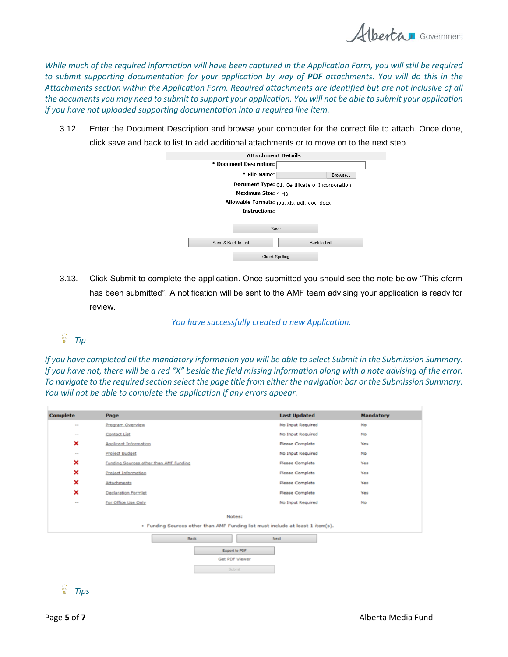

While much of the required information will have been captured in the Application Form, you will still be required *to submit supporting documentation for your application by way of PDF attachments. You will do this in the Attachments section within the Application Form. Required attachments are identified but are not inclusive of all the documents you may need to submit to support your application. You will not be able to submit your application if you have not uploaded supporting documentation into a required line item.*

3.12. Enter the Document Description and browse your computer for the correct file to attach. Once done, click save and back to list to add additional attachments or to move on to the next step.

| <b>Attachment Details</b>                   |                                                 |  |  |  |
|---------------------------------------------|-------------------------------------------------|--|--|--|
| * Document Description:                     |                                                 |  |  |  |
| * File Name:                                | Browse                                          |  |  |  |
|                                             | Document Type: 01. Certificate of Incorporation |  |  |  |
| Maximum Size: 4 MB                          |                                                 |  |  |  |
| Allowable Formats: ipg, xls, pdf, doc, docx |                                                 |  |  |  |
| Instructions:                               |                                                 |  |  |  |
| Save                                        |                                                 |  |  |  |
| Save & Back to List                         | <b>Back to List</b>                             |  |  |  |
| Check Spelling                              |                                                 |  |  |  |

3.13. Click Submit to complete the application. Once submitted you should see the note below "This eform has been submitted". A notification will be sent to the AMF team advising your application is ready for review.

*You have successfully created a new Application.*

 $\mathbb{Q}$ *Tip*

*If you have completed all the mandatory information you will be able to select Submit in the Submission Summary. If you have not, there will be a red "X" beside the field missing information along with a note advising of the error. To navigate to the required section select the page title from either the navigation bar or the Submission Summary. You will not be able to complete the application if any errors appear.*

| <b>Complete</b>                                                                          | Page                                   | <b>Last Updated</b>    | <b>Mandatory</b> |  |  |  |
|------------------------------------------------------------------------------------------|----------------------------------------|------------------------|------------------|--|--|--|
| $\cdots$                                                                                 | Program Overview                       | No Input Required      | No               |  |  |  |
| $\sim$                                                                                   | <b>Contact List</b>                    | No Input Required      | No               |  |  |  |
| ×                                                                                        | <b>Applicant Information</b>           | <b>Please Complete</b> | Yes              |  |  |  |
| $\sim$                                                                                   | <b>Project Budget</b>                  | No Input Required      | No               |  |  |  |
| ×                                                                                        | Funding Sources other than AMF Funding | <b>Please Complete</b> | Yes              |  |  |  |
| ×                                                                                        | <b>Project Information</b>             | <b>Please Complete</b> | Yes              |  |  |  |
| ×                                                                                        | Attachments                            | <b>Please Complete</b> | Yes              |  |  |  |
| ×                                                                                        | <b>Declaration Formlet</b>             | <b>Please Complete</b> | Yes              |  |  |  |
| $\sim$                                                                                   | For Office Use Only                    | No Input Required      | No               |  |  |  |
| Notes:<br>. Funding Sources other than AMF Funding list must include at least 1 item(s). |                                        |                        |                  |  |  |  |
| <b>Back</b><br><b>Next</b><br>Export to PDF<br>Get PDF Viewer<br>Submit                  |                                        |                        |                  |  |  |  |

*Tips*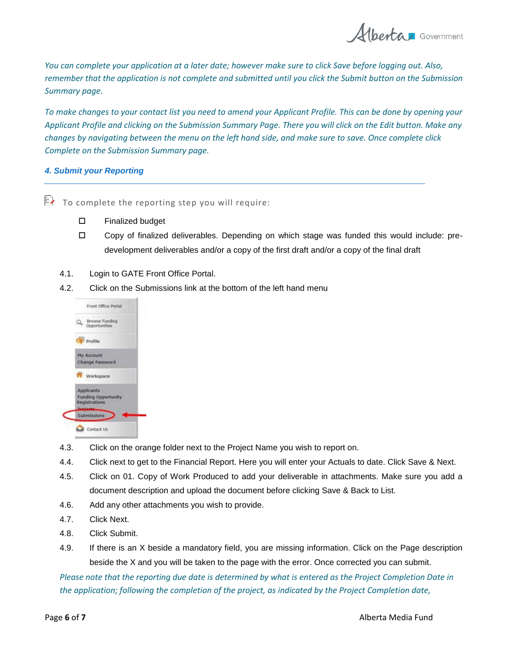Albertau Government

*You can complete your application at a later date; however make sure to click Save before logging out. Also, remember that the application is not complete and submitted until you click the Submit button on the Submission Summary page.*

*To make changes to your contact list you need to amend your Applicant Profile. This can be done by opening your Applicant Profile and clicking on the Submission Summary Page. There you will click on the Edit button. Make any changes by navigating between the menu on the left hand side, and make sure to save. Once complete click Complete on the Submission Summary page.*

## *4. Submit your Reporting*

 $\mathbb{R}$  To complete the reporting step you will require:

- □ Finalized budget
- Copy of finalized deliverables. Depending on which stage was funded this would include: predevelopment deliverables and/or a copy of the first draft and/or a copy of the final draft
- 4.1. Login to GATE Front Office Portal.
- 4.2. Click on the Submissions link at the bottom of the left hand menu



- 4.3. Click on the orange folder next to the Project Name you wish to report on.
- 4.4. Click next to get to the Financial Report. Here you will enter your Actuals to date. Click Save & Next.
- 4.5. Click on 01. Copy of Work Produced to add your deliverable in attachments. Make sure you add a document description and upload the document before clicking Save & Back to List.
- 4.6. Add any other attachments you wish to provide.
- 4.7. Click Next.
- 4.8. Click Submit.
- 4.9. If there is an X beside a mandatory field, you are missing information. Click on the Page description beside the X and you will be taken to the page with the error. Once corrected you can submit.

*Please note that the reporting due date is determined by what is entered as the Project Completion Date in the application; following the completion of the project, as indicated by the Project Completion date,*